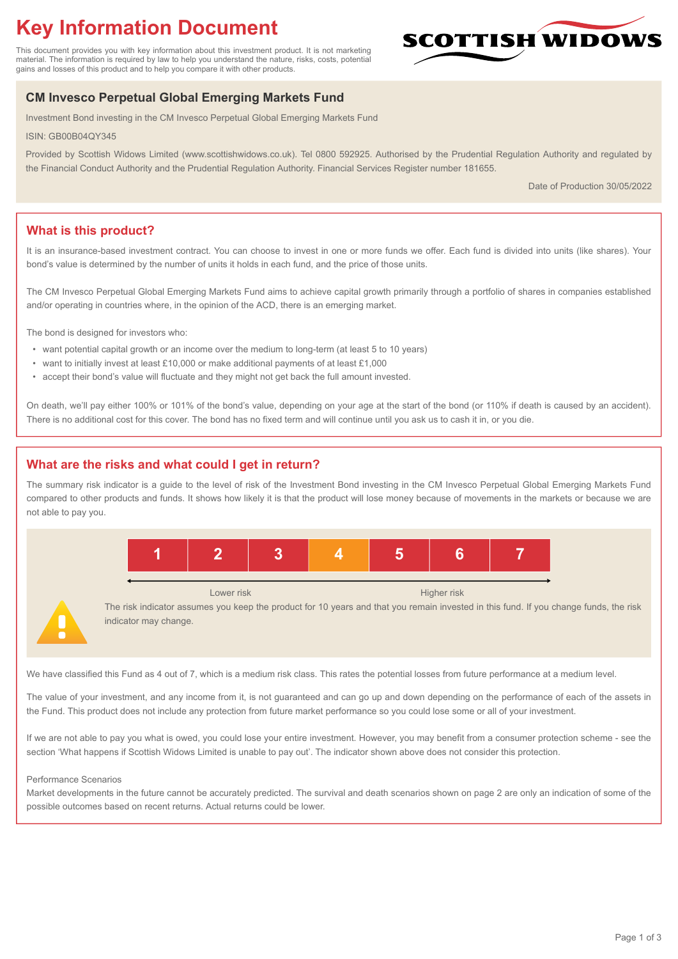# **Key Information Document**

This document provides you with key information about this investment product. It is not marketing material. The information is required by law to help you understand the nature, risks, costs, potential gains and losses of this product and to help you compare it with other products.

# **SCOTTISH WIDOW**

# **CM Invesco Perpetual Global Emerging Markets Fund**

Investment Bond investing in the CM Invesco Perpetual Global Emerging Markets Fund

ISIN: GB00B04QY345

Provided by Scottish Widows Limited (www.scottishwidows.co.uk). Tel 0800 592925. Authorised by the Prudential Regulation Authority and regulated by the Financial Conduct Authority and the Prudential Regulation Authority. Financial Services Register number 181655.

Date of Production 30/05/2022

# **What is this product?**

It is an insurance-based investment contract. You can choose to invest in one or more funds we offer. Each fund is divided into units (like shares). Your bond's value is determined by the number of units it holds in each fund, and the price of those units.

The CM Invesco Perpetual Global Emerging Markets Fund aims to achieve capital growth primarily through a portfolio of shares in companies established and/or operating in countries where, in the opinion of the ACD, there is an emerging market.

The bond is designed for investors who:

- want potential capital growth or an income over the medium to long-term (at least 5 to 10 years)
- want to initially invest at least £10,000 or make additional payments of at least £1,000
- accept their bond's value will fluctuate and they might not get back the full amount invested.

On death, we'll pay either 100% or 101% of the bond's value, depending on your age at the start of the bond (or 110% if death is caused by an accident). There is no additional cost for this cover. The bond has no fixed term and will continue until you ask us to cash it in, or you die.

# **What are the risks and what could I get in return?**

The summary risk indicator is a guide to the level of risk of the Investment Bond investing in the CM Invesco Perpetual Global Emerging Markets Fund compared to other products and funds. It shows how likely it is that the product will lose money because of movements in the markets or because we are not able to pay you.



The risk indicator assumes you keep the product for 10 years and that you remain invested in this fund. If you change funds, the risk indicator may change.

We have classified this Fund as 4 out of 7, which is a medium risk class. This rates the potential losses from future performance at a medium level.

The value of your investment, and any income from it, is not guaranteed and can go up and down depending on the performance of each of the assets in the Fund. This product does not include any protection from future market performance so you could lose some or all of your investment.

If we are not able to pay you what is owed, you could lose your entire investment. However, you may benefit from a consumer protection scheme - see the section 'What happens if Scottish Widows Limited is unable to pay out'. The indicator shown above does not consider this protection.

#### Performance Scenarios

Market developments in the future cannot be accurately predicted. The survival and death scenarios shown on page 2 are only an indication of some of the possible outcomes based on recent returns. Actual returns could be lower.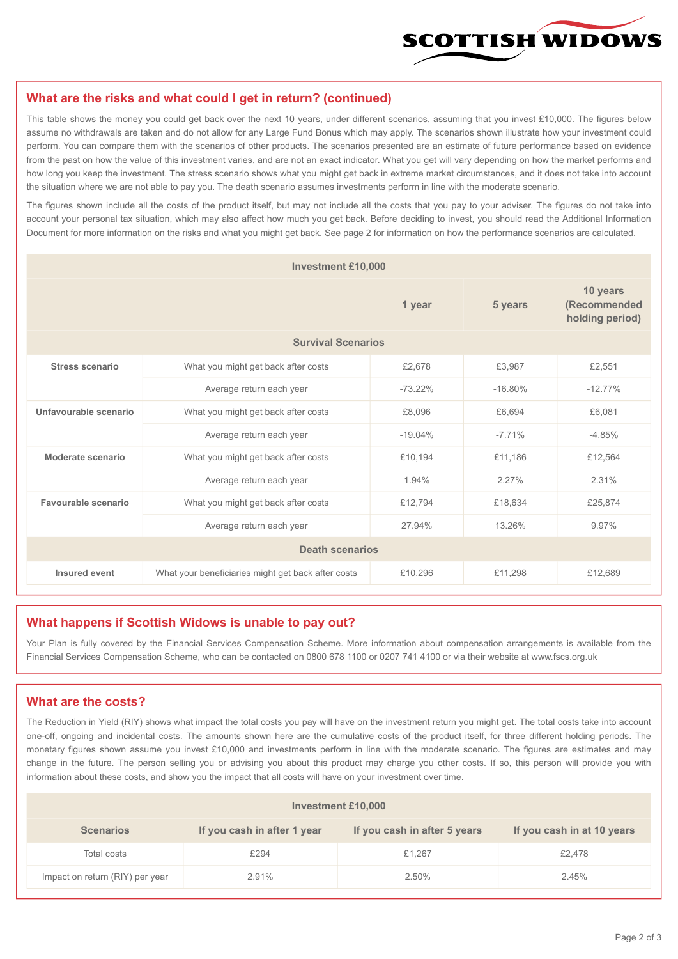

#### **What are the risks and what could I get in return? (continued)**

This table shows the money you could get back over the next 10 years, under different scenarios, assuming that you invest £10,000. The figures below assume no withdrawals are taken and do not allow for any Large Fund Bonus which may apply. The scenarios shown illustrate how your investment could perform. You can compare them with the scenarios of other products. The scenarios presented are an estimate of future performance based on evidence from the past on how the value of this investment varies, and are not an exact indicator. What you get will vary depending on how the market performs and how long you keep the investment. The stress scenario shows what you might get back in extreme market circumstances, and it does not take into account the situation where we are not able to pay you. The death scenario assumes investments perform in line with the moderate scenario.

The figures shown include all the costs of the product itself, but may not include all the costs that you pay to your adviser. The figures do not take into account your personal tax situation, which may also affect how much you get back. Before deciding to invest, you should read the Additional Information Document for more information on the risks and what you might get back. See page 2 for information on how the performance scenarios are calculated.

| <b>Investment £10,000</b> |                                                    |           |           |                                             |  |  |  |
|---------------------------|----------------------------------------------------|-----------|-----------|---------------------------------------------|--|--|--|
|                           |                                                    | 1 year    | 5 years   | 10 years<br>(Recommended<br>holding period) |  |  |  |
| <b>Survival Scenarios</b> |                                                    |           |           |                                             |  |  |  |
| Stress scenario           | What you might get back after costs<br>£2,678      |           | £3.987    | £2,551                                      |  |  |  |
|                           | $-73.22%$<br>Average return each year              |           | $-16.80%$ | $-12.77%$                                   |  |  |  |
| Unfavourable scenario     | What you might get back after costs<br>£8,096      |           | £6.694    | £6.081                                      |  |  |  |
|                           | Average return each year                           | $-19.04%$ | $-7.71%$  | $-4.85%$                                    |  |  |  |
| Moderate scenario         | What you might get back after costs                | £10,194   | £11,186   | £12,564                                     |  |  |  |
|                           | Average return each year                           | 1.94%     | 2.27%     | 2.31%                                       |  |  |  |
| Favourable scenario       | What you might get back after costs                | £12,794   | £18,634   | £25,874                                     |  |  |  |
|                           | Average return each year<br>27.94%                 |           | 13.26%    | 9.97%                                       |  |  |  |
| <b>Death scenarios</b>    |                                                    |           |           |                                             |  |  |  |
| Insured event             | What your beneficiaries might get back after costs | £10,296   | £11,298   | £12,689                                     |  |  |  |

#### **What happens if Scottish Widows is unable to pay out?**

Your Plan is fully covered by the Financial Services Compensation Scheme. More information about compensation arrangements is available from the Financial Services Compensation Scheme, who can be contacted on 0800 678 1100 or 0207 741 4100 or via their website at www.fscs.org.uk

#### **What are the costs?**

The Reduction in Yield (RIY) shows what impact the total costs you pay will have on the investment return you might get. The total costs take into account one-off, ongoing and incidental costs. The amounts shown here are the cumulative costs of the product itself, for three different holding periods. The monetary figures shown assume you invest £10,000 and investments perform in line with the moderate scenario. The figures are estimates and may change in the future. The person selling you or advising you about this product may charge you other costs. If so, this person will provide you with information about these costs, and show you the impact that all costs will have on your investment over time.

| <b>Investment £10,000</b>       |                             |                              |                            |  |  |  |
|---------------------------------|-----------------------------|------------------------------|----------------------------|--|--|--|
| <b>Scenarios</b>                | If you cash in after 1 year | If you cash in after 5 years | If you cash in at 10 years |  |  |  |
| Total costs                     | £294                        | £1.267                       | £2,478                     |  |  |  |
| Impact on return (RIY) per year | 2.91%                       | 2.50%                        | 2.45%                      |  |  |  |